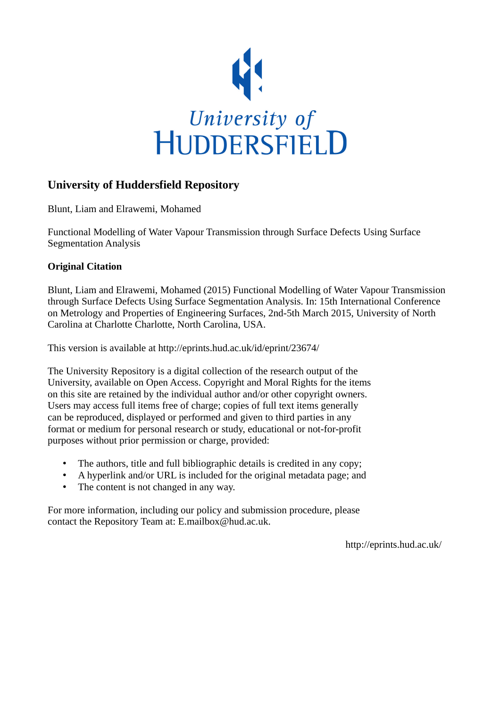

### **University of Huddersfield Repository**

Blunt, Liam and Elrawemi, Mohamed

Functional Modelling of Water Vapour Transmission through Surface Defects Using Surface Segmentation Analysis

### **Original Citation**

Blunt, Liam and Elrawemi, Mohamed (2015) Functional Modelling of Water Vapour Transmission through Surface Defects Using Surface Segmentation Analysis. In: 15th International Conference on Metrology and Properties of Engineering Surfaces, 2nd-5th March 2015, University of North Carolina at Charlotte Charlotte, North Carolina, USA.

This version is available at http://eprints.hud.ac.uk/id/eprint/23674/

The University Repository is a digital collection of the research output of the University, available on Open Access. Copyright and Moral Rights for the items on this site are retained by the individual author and/or other copyright owners. Users may access full items free of charge; copies of full text items generally can be reproduced, displayed or performed and given to third parties in any format or medium for personal research or study, educational or not-for-profit purposes without prior permission or charge, provided:

- The authors, title and full bibliographic details is credited in any copy;
- A hyperlink and/or URL is included for the original metadata page; and
- The content is not changed in any way.

For more information, including our policy and submission procedure, please contact the Repository Team at: E.mailbox@hud.ac.uk.

http://eprints.hud.ac.uk/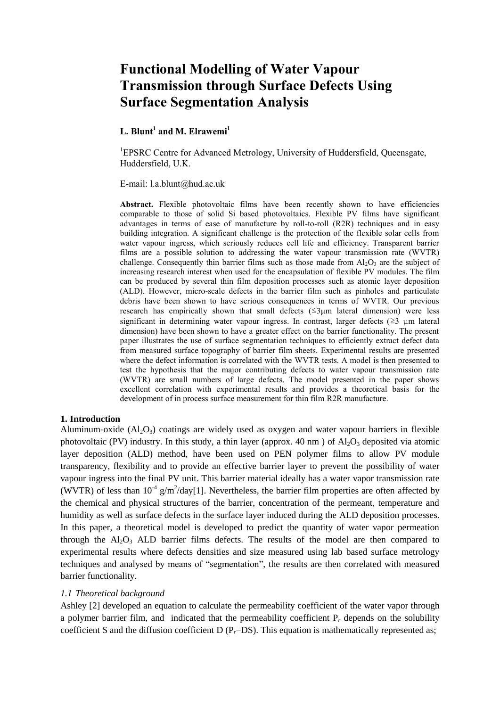# **Functional Modelling of Water Vapour Transmission through Surface Defects Using Surface Segmentation Analysis**

#### **L. Blunt<sup>1</sup> and M. Elrawemi<sup>1</sup>**

<sup>1</sup>EPSRC Centre for Advanced Metrology, University of Huddersfield, Oueensgate, Huddersfield, U.K.

E-mail: l.a.blunt@hud.ac.uk

**Abstract.** Flexible photovoltaic films have been recently shown to have efficiencies comparable to those of solid Si based photovoltaics. Flexible PV films have significant advantages in terms of ease of manufacture by roll-to-roll (R2R) techniques and in easy building integration. A significant challenge is the protection of the flexible solar cells from water vapour ingress, which seriously reduces cell life and efficiency. Transparent barrier films are a possible solution to addressing the water vapour transmission rate (WVTR) challenge. Consequently thin barrier films such as those made from  $Al_2O_3$  are the subject of increasing research interest when used for the encapsulation of flexible PV modules. The film can be produced by several thin film deposition processes such as atomic layer deposition (ALD). However, micro-scale defects in the barrier film such as pinholes and particulate debris have been shown to have serious consequences in terms of WVTR. Our previous research has empirically shown that small defects (≤3μm lateral dimension) were less significant in determining water vapour ingress. In contrast, larger defects ( $\geq$ 3 µm lateral dimension) have been shown to have a greater effect on the barrier functionality. The present paper illustrates the use of surface segmentation techniques to efficiently extract defect data from measured surface topography of barrier film sheets. Experimental results are presented where the defect information is correlated with the WVTR tests. A model is then presented to test the hypothesis that the major contributing defects to water vapour transmission rate (WVTR) are small numbers of large defects. The model presented in the paper shows excellent correlation with experimental results and provides a theoretical basis for the development of in process surface measurement for thin film R2R manufacture.

#### **1. Introduction**

Aluminum-oxide  $(A_1, O_3)$  coatings are widely used as oxygen and water vapour barriers in flexible photovoltaic (PV) industry. In this study, a thin layer (approx. 40 nm) of  $Al_2O_3$  deposited via atomic layer deposition (ALD) method, have been used on PEN polymer films to allow PV module transparency, flexibility and to provide an effective barrier layer to prevent the possibility of water vapour ingress into the final PV unit. This barrier material ideally has a water vapor transmission rate (WVTR) of less than  $10^{-4}$  g/m<sup>2</sup>/day[\[1\]](#page-6-0). Nevertheless, the barrier film properties are often affected by the chemical and physical structures of the barrier, concentration of the permeant, temperature and humidity as well as surface defects in the surface layer induced during the ALD deposition processes. In this paper, a theoretical model is developed to predict the quantity of water vapor permeation through the  $A1_2O_3$  ALD barrier films defects. The results of the model are then compared to experimental results where defects densities and size measured using lab based surface metrology techniques and analysed by means of "segmentation", the results are then correlated with measured barrier functionality.

#### *1.1 Theoretical background*

Ashley [\[2\]](#page-6-1) developed an equation to calculate the permeability coefficient of the water vapor through a polymer barrier film, and indicated that the permeability coefficient P*<sup>r</sup>* depends on the solubility coefficient S and the diffusion coefficient D (P<sub>*r*</sub>=DS). This equation is mathematically represented as;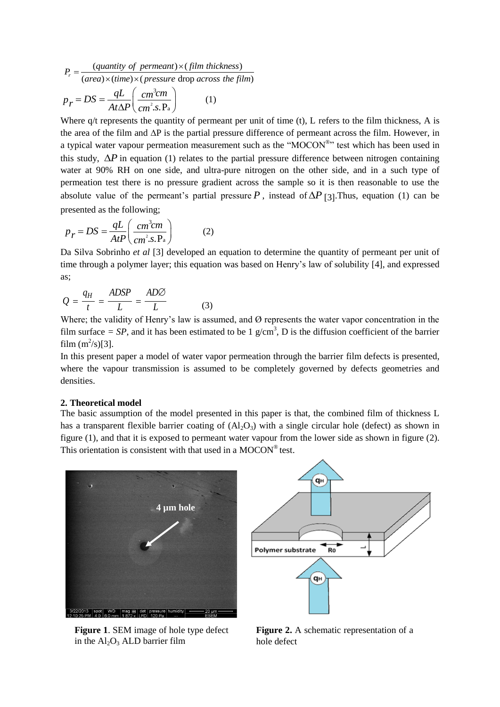$$
P_r = \frac{(quantity \ of \ permanent) \times (film \ thickness)}{(area) \times (time) \times (pressure \ drop \ across \ the \ film)}
$$

$$
p_r = DS = \frac{qL}{At\Delta P} \left(\frac{cm^3 cm}{cm^2 \cdot s \cdot Pa}\right) \qquad (1)
$$

Where  $q/t$  represents the quantity of permeant per unit of time (t), L refers to the film thickness, A is the area of the film and ∆P is the partial pressure difference of permeant across the film. However, in a typical water vapour permeation measurement such as the "MOCON®" test which has been used in this study,  $\Delta P$  in equation (1) relates to the partial pressure difference between nitrogen containing water at 90% RH on one side, and ultra-pure nitrogen on the other side, and in a such type of permeation test there is no pressure gradient across the sample so it is then reasonable to use the absolute value of the permeant's partial pressure  $P$ , instead of  $\Delta P$  [\[3\]](#page-6-2). Thus, equation (1) can be presented as the following;

$$
p_r = DS = \frac{qL}{AtP} \left( \frac{cm^3cm}{cm^2.s.P_a} \right)
$$
 (2)

Da Silva Sobrinho *et al* [\[3\]](#page-6-2) developed an equation to determine the quantity of permeant per unit of time through a polymer layer; this equation was based on Henry's law of solubility [\[4\]](#page-7-0), and expressed as;

$$
Q = \frac{q_H}{t} = \frac{ADSP}{L} = \frac{AD\varnothing}{L}
$$
 (3)

Where; the validity of Henry's law is assumed, and Ø represents the water vapor concentration in the film surface  $= SP$ , and it has been estimated to be 1  $g/cm<sup>3</sup>$ , D is the diffusion coefficient of the barrier film  $(m^2/s)[3]$  $(m^2/s)[3]$ .

In this present paper a model of water vapor permeation through the barrier film defects is presented, where the vapour transmission is assumed to be completely governed by defects geometries and densities.

#### **2. Theoretical model**

The basic assumption of the model presented in this paper is that, the combined film of thickness L has a transparent flexible barrier coating of  $(A_1_2O_3)$  with a single circular hole (defect) as shown in figure (1), and that it is exposed to permeant water vapour from the lower side as shown in figure (2). This orientation is consistent with that used in a  $MOCON<sup>®</sup>$  test.



qн **Ro** Polymer substrate qн

**Figure 1**. SEM image of hole type defect in the  $Al_2O_3$  ALD barrier film

**Figure 2.** A schematic representation of a hole defect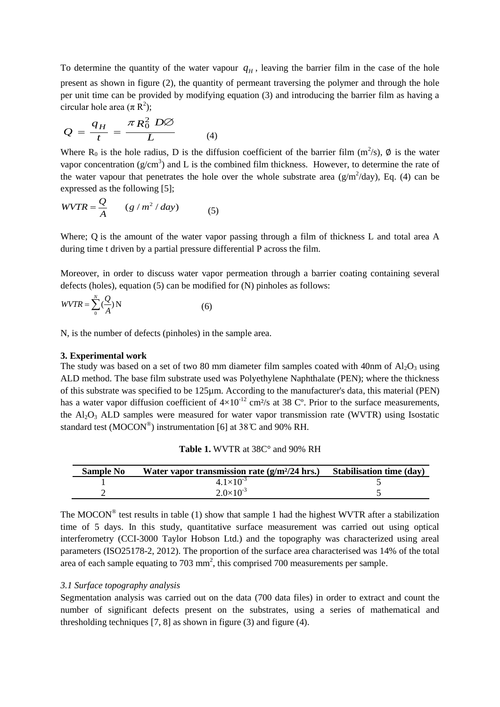To determine the quantity of the water vapour  $q_H$ , leaving the barrier film in the case of the hole present as shown in figure (2), the quantity of permeant traversing the polymer and through the hole per unit time can be provided by modifying equation (3) and introducing the barrier film as having a circular hole area  $(\pi R^2)$ ;

$$
Q = \frac{q_H}{t} = \frac{\pi R_0^2 D\varnothing}{L}
$$
 (4)

Where R<sub>0</sub> is the hole radius, D is the diffusion coefficient of the barrier film  $(m^2/s)$ , Ø is the water vapor concentration ( $g/cm<sup>3</sup>$ ) and L is the combined film thickness. However, to determine the rate of the water vapour that penetrates the hole over the whole substrate area  $(g/m^2/day)$ , Eq. (4) can be expressed as the following [\[5\]](#page-7-1);

$$
WVTR = \frac{Q}{A} \qquad (g/m^2 / day) \tag{5}
$$

Where; Q is the amount of the water vapor passing through a film of thickness L and total area A during time t driven by a partial pressure differential P across the film.

Moreover, in order to discuss water vapor permeation through a barrier coating containing several defects (holes), equation (5) can be modified for (N) pinholes as follows:

$$
WVTR = \sum_{0}^{N} \left(\frac{Q}{A}\right) N \tag{6}
$$

N, is the number of defects (pinholes) in the sample area.

#### **3. Experimental work**

The study was based on a set of two 80 mm diameter film samples coated with 40nm of  $Al_2O_3$  using ALD method. The base film substrate used was Polyethylene Naphthalate (PEN); where the thickness of this substrate was specified to be 125µm. According to the manufacturer's data, this material (PEN) has a water vapor diffusion coefficient of  $4\times10^{-12}$  cm<sup>2</sup>/s at 38 C°. Prior to the surface measurements, the  $Al_2O_3$  ALD samples were measured for water vapor transmission rate (WVTR) using Isostatic standard test (MOCON®) instrumentation [\[6\]](#page-7-2) at  $38^{\circ}$  C and 90% RH.

| <b>Sample No</b> | Water vapor transmission rate $(g/m^2/24)$ hrs.) Stabilisation time (day) |  |
|------------------|---------------------------------------------------------------------------|--|
|                  | $4.1 \times 10^{-3}$                                                      |  |
|                  | $2.0\times10^{-3}$                                                        |  |

The MOCON<sup>®</sup> test results in table (1) show that sample 1 had the highest WVTR after a stabilization time of 5 days. In this study, quantitative surface measurement was carried out using optical interferometry (CCI-3000 Taylor Hobson Ltd.) and the topography was characterized using areal parameters (ISO25178-2, 2012). The proportion of the surface area characterised was 14% of the total area of each sample equating to 703 mm<sup>2</sup>, this comprised 700 measurements per sample.

#### *3.1 Surface topography analysis*

Segmentation analysis was carried out on the data (700 data files) in order to extract and count the number of significant defects present on the substrates, using a series of mathematical and thresholding techniques [\[7,](#page-7-3) [8\]](#page-7-4) as shown in figure (3) and figure (4).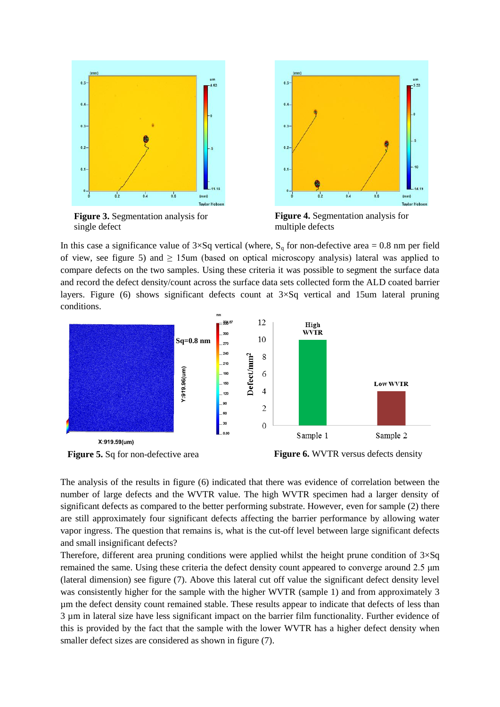

**Figure 3.** Segmentation analysis for single defect



**Figure 4.** Segmentation analysis for multiple defects

In this case a significance value of  $3\times$ Sq vertical (where, S<sub>q</sub> for non-defective area = 0.8 nm per field of view, see figure 5) and  $\geq$  15um (based on optical microscopy analysis) lateral was applied to compare defects on the two samples. Using these criteria it was possible to segment the surface data and record the defect density/count across the surface data sets collected form the ALD coated barrier layers. Figure (6) shows significant defects count at  $3 \times$ Sq vertical and 15um lateral pruning conditions.



The analysis of the results in figure (6) indicated that there was evidence of correlation between the number of large defects and the WVTR value. The high WVTR specimen had a larger density of significant defects as compared to the better performing substrate. However, even for sample (2) there are still approximately four significant defects affecting the barrier performance by allowing water vapor ingress. The question that remains is, what is the cut-off level between large significant defects and small insignificant defects?

Therefore, different area pruning conditions were applied whilst the height prune condition of  $3\times$ Sq remained the same. Using these criteria the defect density count appeared to converge around 2.5 μm (lateral dimension) see figure (7). Above this lateral cut off value the significant defect density level was consistently higher for the sample with the higher WVTR (sample 1) and from approximately 3 µm the defect density count remained stable. These results appear to indicate that defects of less than 3 µm in lateral size have less significant impact on the barrier film functionality. Further evidence of this is provided by the fact that the sample with the lower WVTR has a higher defect density when smaller defect sizes are considered as shown in figure (7).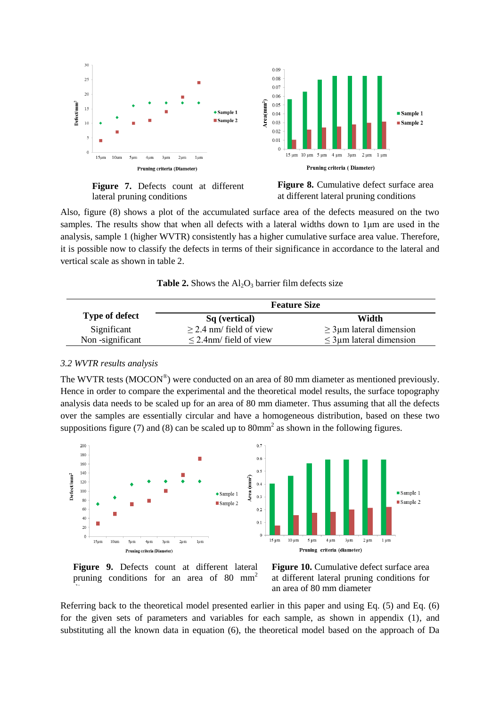

**Figure 7.** Defects count at different lateral pruning conditions

**Figure 8.** Cumulative defect surface area at different lateral pruning conditions

Also, figure (8) shows a plot of the accumulated surface area of the defects measured on the two samples. The results show that when all defects with a lateral widths down to 1μm are used in the analysis, sample 1 (higher WVTR) consistently has a higher cumulative surface area value. Therefore, it is possible now to classify the defects in terms of their significance in accordance to the lateral and vertical scale as shown in table 2.

| <b>Table 2.</b> Shows the $Al_2O_3$ barrier film defects size |  |  |  |
|---------------------------------------------------------------|--|--|--|
|---------------------------------------------------------------|--|--|--|

|                       | <b>Feature Size</b>          |                               |  |
|-----------------------|------------------------------|-------------------------------|--|
| <b>Type of defect</b> | Sq (vertical)                | Width                         |  |
| Significant           | $\geq$ 2.4 nm/ field of view | $\geq$ 3 µm lateral dimension |  |
| Non-significant       | $\leq$ 2.4nm/ field of view  | $\leq$ 3 µm lateral dimension |  |

#### *3.2 WVTR results analysis*

The WVTR tests (MOCON<sup>®</sup>) were conducted on an area of 80 mm diameter as mentioned previously. Hence in order to compare the experimental and the theoretical model results, the surface topography analysis data needs to be scaled up for an area of 80 mm diameter. Thus assuming that all the defects over the samples are essentially circular and have a homogeneous distribution, based on these two suppositions figure (7) and (8) can be scaled up to  $80 \text{mm}^2$  as shown in the following figures.



**Figure 9.** Defects count at different lateral pruning conditions for an area of 80  $mm<sup>2</sup>$ 

**Figure 10.** Cumulative defect surface area at different lateral pruning conditions for an area of 80 mm diameter

Referring back to the theoretical model presented earlier in this paper and using Eq. (5) and Eq. (6) for the given sets of parameters and variables for each sample, as shown in appendix (1), and substituting all the known data in equation (6), the theoretical model based on the approach of Da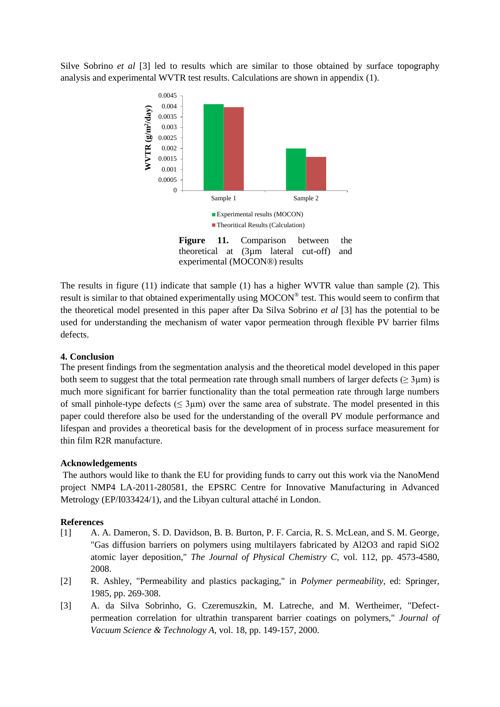Silve Sobrino *et al* [\[3\]](#page-6-2) led to results which are similar to those obtained by surface topography analysis and experimental WVTR test results. Calculations are shown in appendix (1).



Figure 11. Comparison between the theoretical at (3µm lateral cut-off) and experimental (MOCON®) results

The results in figure (11) indicate that sample (1) has a higher WVTR value than sample (2). This result is similar to that obtained experimentally using MOCON® test. This would seem to confirm that the theoretical model presented in this paper after Da Silva Sobrino *et al* [3] has the potential to be used for understanding the mechanism of water vapor permeation through flexible PV barrier films defects.

#### **4. Conclusion**

The present findings from the segmentation analysis and the theoretical model developed in this paper both seem to suggest that the total permeation rate through small numbers of larger defects ( $> 3 \mu m$ ) is much more significant for barrier functionality than the total permeation rate through large numbers of small pinhole-type defects ( $\leq 3\mu$ m) over the same area of substrate. The model presented in this paper could therefore also be used for the understanding of the overall PV module performance and lifespan and provides a theoretical basis for the development of in process surface measurement for thin film R2R manufacture.

#### **Acknowledgements**

The authors would like to thank the EU for providing funds to carry out this work via the NanoMend project NMP4 LA-2011-280581, the EPSRC Centre for Innovative Manufacturing in Advanced Metrology (EP/I033424/1), and the Libyan cultural attaché in London.

#### **References**

- <span id="page-6-0"></span>[1] A. A. Dameron, S. D. Davidson, B. B. Burton, P. F. Carcia, R. S. McLean, and S. M. George, "Gas diffusion barriers on polymers using multilayers fabricated by Al2O3 and rapid SiO2 atomic layer deposition," *The Journal of Physical Chemistry C,* vol. 112, pp. 4573-4580, 2008.
- <span id="page-6-1"></span>[2] R. Ashley, "Permeability and plastics packaging," in *Polymer permeability*, ed: Springer, 1985, pp. 269-308.
- <span id="page-6-2"></span>[3] A. da Silva Sobrinho, G. Czeremuszkin, M. Latreche, and M. Wertheimer, "Defectpermeation correlation for ultrathin transparent barrier coatings on polymers," *Journal of Vacuum Science & Technology A,* vol. 18, pp. 149-157, 2000.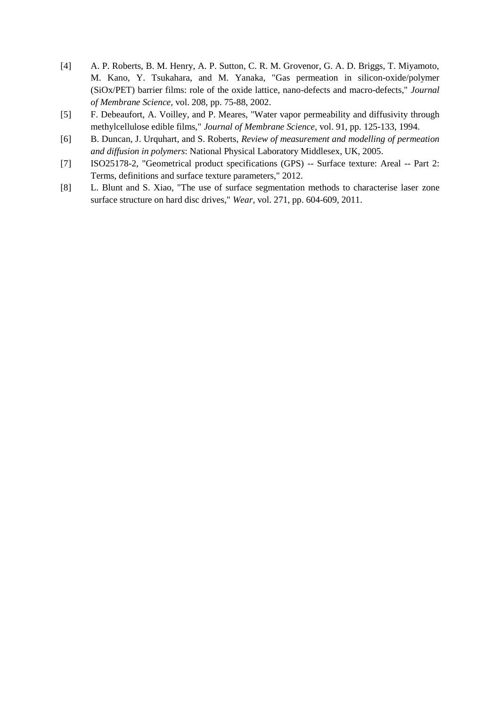- <span id="page-7-0"></span>[4] A. P. Roberts, B. M. Henry, A. P. Sutton, C. R. M. Grovenor, G. A. D. Briggs, T. Miyamoto, M. Kano, Y. Tsukahara, and M. Yanaka, "Gas permeation in silicon-oxide/polymer (SiOx/PET) barrier films: role of the oxide lattice, nano-defects and macro-defects," *Journal of Membrane Science,* vol. 208, pp. 75-88, 2002.
- <span id="page-7-1"></span>[5] F. Debeaufort, A. Voilley, and P. Meares, "Water vapor permeability and diffusivity through methylcellulose edible films," *Journal of Membrane Science,* vol. 91, pp. 125-133, 1994.
- <span id="page-7-2"></span>[6] B. Duncan, J. Urquhart, and S. Roberts, *Review of measurement and modelling of permeation and diffusion in polymers*: National Physical Laboratory Middlesex, UK, 2005.
- <span id="page-7-3"></span>[7] ISO25178-2, "Geometrical product specifications (GPS) -- Surface texture: Areal -- Part 2: Terms, definitions and surface texture parameters," 2012.
- <span id="page-7-4"></span>[8] L. Blunt and S. Xiao, "The use of surface segmentation methods to characterise laser zone surface structure on hard disc drives," *Wear,* vol. 271, pp. 604-609, 2011.